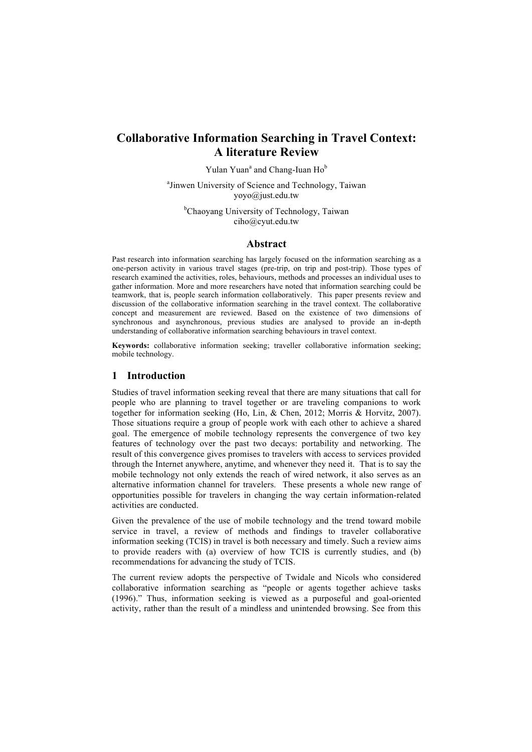# **Collaborative Information Searching in Travel Context: A literature Review**

Yulan Yuan<sup>a</sup> and Chang-Iuan Ho<sup>b</sup>

<sup>a</sup> Jinwen University of Science and Technology, Taiwan yoyo@just.edu.tw

<sup>b</sup>Chaoyang University of Technology, Taiwan ciho@cyut.edu.tw

#### **Abstract**

Past research into information searching has largely focused on the information searching as a one-person activity in various travel stages (pre-trip, on trip and post-trip). Those types of research examined the activities, roles, behaviours, methods and processes an individual uses to gather information. More and more researchers have noted that information searching could be teamwork, that is, people search information collaboratively. This paper presents review and discussion of the collaborative information searching in the travel context. The collaborative concept and measurement are reviewed. Based on the existence of two dimensions of synchronous and asynchronous, previous studies are analysed to provide an in-depth understanding of collaborative information searching behaviours in travel context.

**Keywords:** collaborative information seeking; traveller collaborative information seeking; mobile technology.

### **1 Introduction**

Studies of travel information seeking reveal that there are many situations that call for people who are planning to travel together or are traveling companions to work together for information seeking (Ho, Lin, & Chen, 2012; Morris & Horvitz, 2007). Those situations require a group of people work with each other to achieve a shared goal. The emergence of mobile technology represents the convergence of two key features of technology over the past two decays: portability and networking. The result of this convergence gives promises to travelers with access to services provided through the Internet anywhere, anytime, and whenever they need it. That is to say the mobile technology not only extends the reach of wired network, it also serves as an alternative information channel for travelers. These presents a whole new range of opportunities possible for travelers in changing the way certain information-related activities are conducted.

Given the prevalence of the use of mobile technology and the trend toward mobile service in travel, a review of methods and findings to traveler collaborative information seeking (TCIS) in travel is both necessary and timely. Such a review aims to provide readers with (a) overview of how TCIS is currently studies, and (b) recommendations for advancing the study of TCIS.

The current review adopts the perspective of Twidale and Nicols who considered collaborative information searching as "people or agents together achieve tasks (1996)." Thus, information seeking is viewed as a purposeful and goal-oriented activity, rather than the result of a mindless and unintended browsing. See from this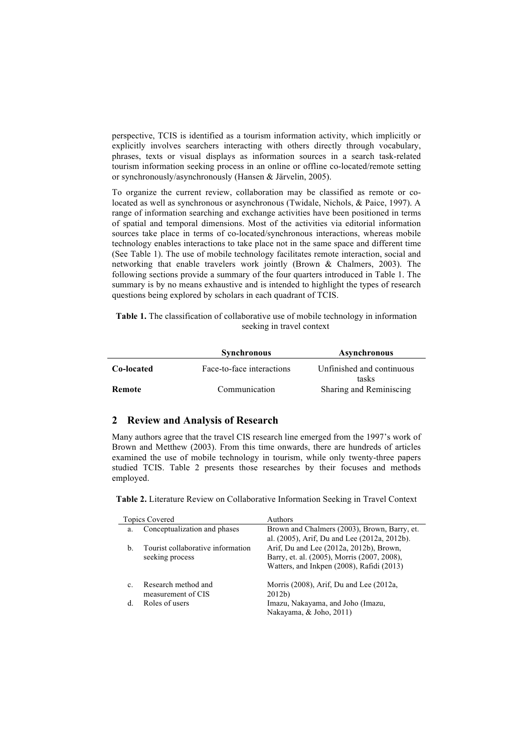perspective, TCIS is identified as a tourism information activity, which implicitly or explicitly involves searchers interacting with others directly through vocabulary, phrases, texts or visual displays as information sources in a search task-related tourism information seeking process in an online or offline co-located/remote setting or synchronously/asynchronously (Hansen & Järvelin, 2005).

To organize the current review, collaboration may be classified as remote or colocated as well as synchronous or asynchronous (Twidale, Nichols, & Paice, 1997). A range of information searching and exchange activities have been positioned in terms of spatial and temporal dimensions. Most of the activities via editorial information sources take place in terms of co-located/synchronous interactions, whereas mobile technology enables interactions to take place not in the same space and different time (See Table 1). The use of mobile technology facilitates remote interaction, social and networking that enable travelers work jointly (Brown & Chalmers, 2003). The following sections provide a summary of the four quarters introduced in Table 1. The summary is by no means exhaustive and is intended to highlight the types of research questions being explored by scholars in each quadrant of TCIS.

**Table 1.** The classification of collaborative use of mobile technology in information seeking in travel context

|            | <b>Synchronous</b>        | Asynchronous                       |
|------------|---------------------------|------------------------------------|
| Co-located | Face-to-face interactions | Unfinished and continuous<br>tasks |
| Remote     | Communication             | Sharing and Reminiscing            |

## **2 Review and Analysis of Research**

Many authors agree that the travel CIS research line emerged from the 1997's work of Brown and Metthew (2003). From this time onwards, there are hundreds of articles examined the use of mobile technology in tourism, while only twenty-three papers studied TCIS. Table 2 presents those researches by their focuses and methods employed.

**Table 2.** Literature Review on Collaborative Information Seeking in Travel Context

| <b>Topics Covered</b> |                                                      | Authors                                                                                                                             |  |
|-----------------------|------------------------------------------------------|-------------------------------------------------------------------------------------------------------------------------------------|--|
| a.                    | Conceptualization and phases                         | Brown and Chalmers (2003), Brown, Barry, et.<br>al. (2005), Arif, Du and Lee (2012a, 2012b).                                        |  |
| $\mathbf{b}$ .        | Tourist collaborative information<br>seeking process | Arif, Du and Lee (2012a, 2012b), Brown,<br>Barry, et. al. (2005), Morris (2007, 2008),<br>Watters, and Inkpen (2008), Rafidi (2013) |  |
| $\mathbf{c}$ .        | Research method and<br>measurement of CIS            | Morris $(2008)$ , Arif, Du and Lee $(2012a)$ ,<br>2012b)                                                                            |  |
| <sub>d</sub>          | Roles of users                                       | Imazu, Nakayama, and Joho (Imazu,<br>Nakayama, & Joho, 2011)                                                                        |  |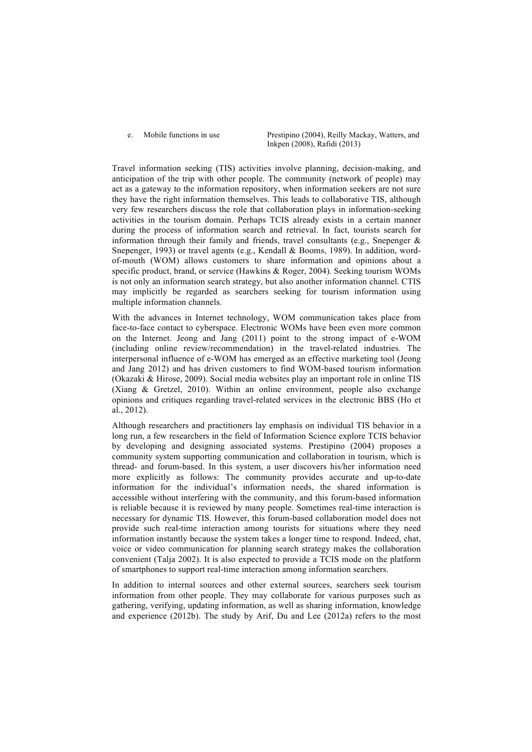e. Mobile functions in use Prestipino (2004), Reilly Mackay, Watters, and Inkpen (2008), Rafidi (2013)

Travel information seeking (TIS) activities involve planning, decision-making, and anticipation of the trip with other people. The community (network of people) may act as a gateway to the information repository, when information seekers are not sure they have the right information themselves. This leads to collaborative TIS, although very few researchers discuss the role that collaboration plays in information-seeking activities in the tourism domain. Perhaps TCIS already exists in a certain manner during the process of information search and retrieval. In fact, tourists search for information through their family and friends, travel consultants (e.g., Snepenger  $\&$ Snepenger, 1993) or travel agents (e.g., Kendall & Booms, 1989). In addition, wordof-mouth (WOM) allows customers to share information and opinions about a specific product, brand, or service (Hawkins & Roger, 2004). Seeking tourism WOMs is not only an information search strategy, but also another information channel. CTIS may implicitly be regarded as searchers seeking for tourism information using multiple information channels.

With the advances in Internet technology, WOM communication takes place from face-to-face contact to cyberspace. Electronic WOMs have been even more common on the Internet. Jeong and Jang (2011) point to the strong impact of e-WOM (including online review/recommendation) in the travel-related industries. The interpersonal influence of e-WOM has emerged as an effective marketing tool (Jeong and Jang 2012) and has driven customers to find WOM-based tourism information (Okazaki & Hirose, 2009). Social media websites play an important role in online TIS (Xiang & Gretzel, 2010). Within an online environment, people also exchange opinions and critiques regarding travel-related services in the electronic BBS (Ho et al., 2012).

Although researchers and practitioners lay emphasis on individual TIS behavior in a long run, a few researchers in the field of Information Science explore TCIS behavior by developing and designing associated systems. Prestipino (2004) proposes a community system supporting communication and collaboration in tourism, which is thread- and forum-based. In this system, a user discovers his/her information need more explicitly as follows: The community provides accurate and up-to-date information for the individual's information needs, the shared information is accessible without interfering with the community, and this forum-based information is reliable because it is reviewed by many people. Sometimes real-time interaction is necessary for dynamic TIS. However, this forum-based collaboration model does not provide such real-time interaction among tourists for situations where they need information instantly because the system takes a longer time to respond. Indeed, chat, voice or video communication for planning search strategy makes the collaboration convenient (Talja 2002). It is also expected to provide a TCIS mode on the platform of smartphones to support real-time interaction among information searchers.

In addition to internal sources and other external sources, searchers seek tourism information from other people. They may collaborate for various purposes such as gathering, verifying, updating information, as well as sharing information, knowledge and experience (2012b). The study by Arif, Du and Lee (2012a) refers to the most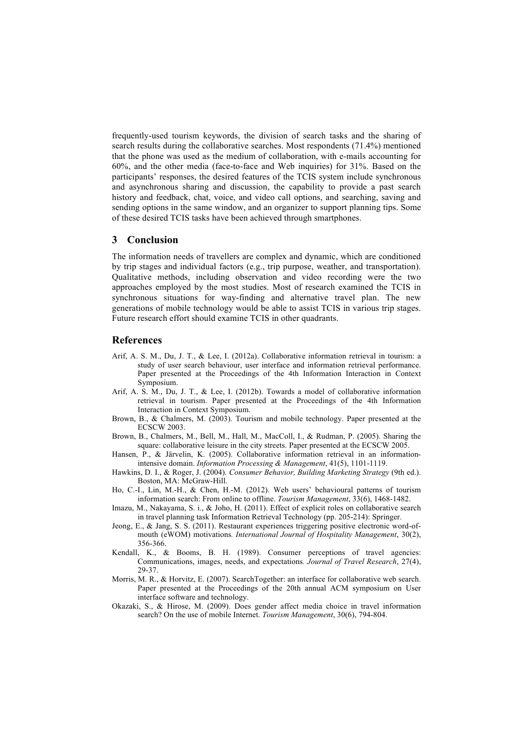frequently-used tourism keywords, the division of search tasks and the sharing of search results during the collaborative searches. Most respondents (71.4%) mentioned that the phone was used as the medium of collaboration, with e-mails accounting for 60%, and the other media (face-to-face and Web inquiries) for 31%. Based on the participants' responses, the desired features of the TCIS system include synchronous and asynchronous sharing and discussion, the capability to provide a past search history and feedback, chat, voice, and video call options, and searching, saving and sending options in the same window, and an organizer to support planning tips. Some of these desired TCIS tasks have been achieved through smartphones.

### **3 Conclusion**

The information needs of travellers are complex and dynamic, which are conditioned by trip stages and individual factors (e.g., trip purpose, weather, and transportation). Qualitative methods, including observation and video recording were the two approaches employed by the most studies. Most of research examined the TCIS in synchronous situations for way-finding and alternative travel plan. The new generations of mobile technology would be able to assist TCIS in various trip stages. Future research effort should examine TCIS in other quadrants.

#### **References**

- Arif, A. S. M., Du, J. T., & Lee, I. (2012a). Collaborative information retrieval in tourism: a study of user search behaviour, user interface and information retrieval performance. Paper presented at the Proceedings of the 4th Information Interaction in Context Symposium.
- Arif, A. S. M., Du, J. T., & Lee, I. (2012b). Towards a model of collaborative information retrieval in tourism. Paper presented at the Proceedings of the 4th Information Interaction in Context Symposium.
- Brown, B., & Chalmers, M. (2003). Tourism and mobile technology. Paper presented at the ECSCW 2003.
- Brown, B., Chalmers, M., Bell, M., Hall, M., MacColl, I., & Rudman, P. (2005). Sharing the square: collaborative leisure in the city streets. Paper presented at the ECSCW 2005.
- Hansen, P., & Järvelin, K. (2005). Collaborative information retrieval in an informationintensive domain. *Information Processing & Management*, 41(5), 1101-1119.
- Hawkins, D. I., & Roger, J. (2004). *Consumer Behavior, Building Marketing Strategy* (9th ed.). Boston, MA: McGraw-Hill.
- Ho, C.-I., Lin, M.-H., & Chen, H.-M. (2012). Web users' behavioural patterns of tourism information search: From online to offline. *Tourism Management*, 33(6), 1468-1482.
- Imazu, M., Nakayama, S. i., & Joho, H. (2011). Effect of explicit roles on collaborative search in travel planning task Information Retrieval Technology (pp. 205-214): Springer.
- Jeong, E., & Jang, S. S. (2011). Restaurant experiences triggering positive electronic word-ofmouth (eWOM) motivations*. International Journal of Hospitality Management*, 30(2), 356-366.
- Kendall, K., & Booms, B. H. (1989). Consumer perceptions of travel agencies: Communications, images, needs, and expectations*. Journal of Travel Research*, 27(4), 29-37.
- Morris, M. R., & Horvitz, E. (2007). SearchTogether: an interface for collaborative web search. Paper presented at the Proceedings of the 20th annual ACM symposium on User interface software and technology.
- Okazaki, S., & Hirose, M. (2009). Does gender affect media choice in travel information search? On the use of mobile Internet. *Tourism Management*, 30(6), 794-804.